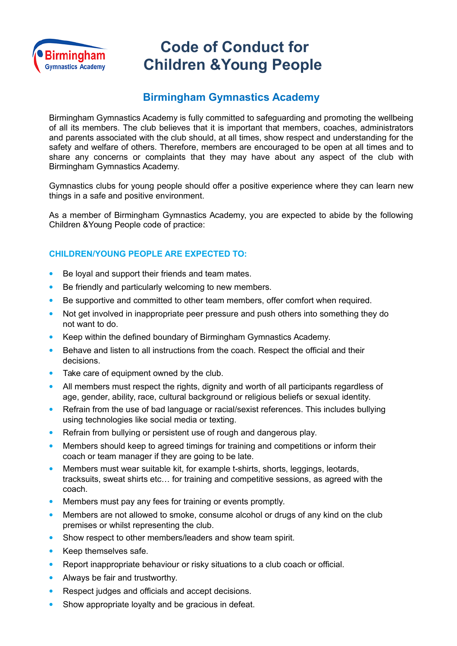

## **Code of Conduct for Children &Young People**

## **Birmingham Gymnastics Academy**

Birmingham Gymnastics Academy is fully committed to safeguarding and promoting the wellbeing of all its members. The club believes that it is important that members, coaches, administrators and parents associated with the club should, at all times, show respect and understanding for the safety and welfare of others. Therefore, members are encouraged to be open at all times and to share any concerns or complaints that they may have about any aspect of the club with Birmingham Gymnastics Academy.

Gymnastics clubs for young people should offer a positive experience where they can learn new things in a safe and positive environment.

As a member of Birmingham Gymnastics Academy, you are expected to abide by the following Children &Young People code of practice:

## **CHILDREN/YOUNG PEOPLE ARE EXPECTED TO:**

- Be loyal and support their friends and team mates.
- Be friendly and particularly welcoming to new members.
- Be supportive and committed to other team members, offer comfort when required.
- Not get involved in inappropriate peer pressure and push others into something they do not want to do.
- Keep within the defined boundary of Birmingham Gymnastics Academy.
- Behave and listen to all instructions from the coach. Respect the official and their decisions.
- Take care of equipment owned by the club.
- All members must respect the rights, dignity and worth of all participants regardless of age, gender, ability, race, cultural background or religious beliefs or sexual identity.
- Refrain from the use of bad language or racial/sexist references. This includes bullying using technologies like social media or texting.
- Refrain from bullying or persistent use of rough and dangerous play.
- Members should keep to agreed timings for training and competitions or inform their coach or team manager if they are going to be late.
- Members must wear suitable kit, for example t-shirts, shorts, leggings, leotards, tracksuits, sweat shirts etc… for training and competitive sessions, as agreed with the coach.
- Members must pay any fees for training or events promptly.
- Members are not allowed to smoke, consume alcohol or drugs of any kind on the club premises or whilst representing the club.
- Show respect to other members/leaders and show team spirit.
- Keep themselves safe.
- Report inappropriate behaviour or risky situations to a club coach or official.
- Always be fair and trustworthy.
- Respect judges and officials and accept decisions.
- Show appropriate loyalty and be gracious in defeat.